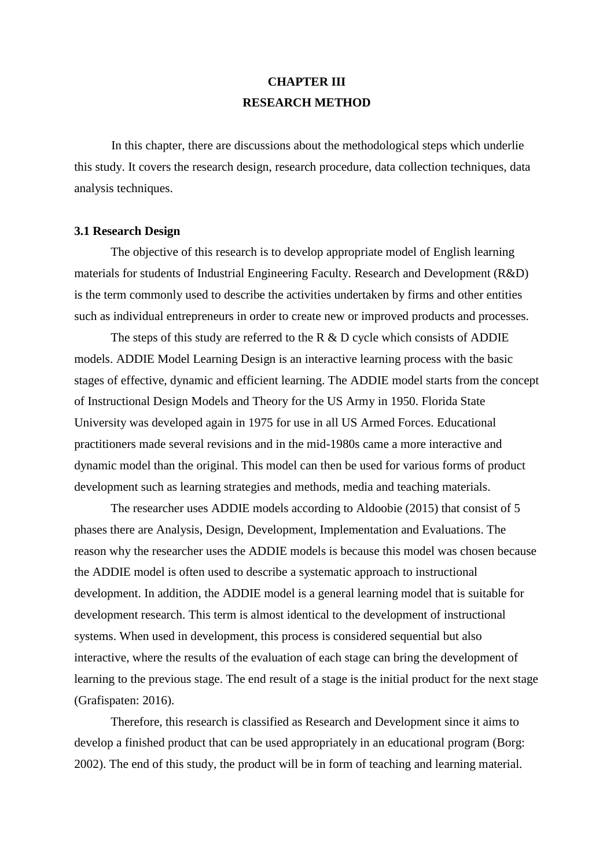# **CHAPTER III RESEARCH METHOD**

In this chapter, there are discussions about the methodological steps which underlie this study. It covers the research design, research procedure, data collection techniques, data analysis techniques.

## **3.1 Research Design**

The objective of this research is to develop appropriate model of English learning materials for students of Industrial Engineering Faculty. Research and Development (R&D) is the term commonly used to describe the activities undertaken by firms and other entities such as individual entrepreneurs in order to create new or improved products and processes.

The steps of this study are referred to the R  $\&$  D cycle which consists of ADDIE models. ADDIE Model Learning Design is an interactive learning process with the basic stages of effective, dynamic and efficient learning. The ADDIE model starts from the concept of Instructional Design Models and Theory for the US Army in 1950. Florida State University was developed again in 1975 for use in all US Armed Forces. Educational practitioners made several revisions and in the mid-1980s came a more interactive and dynamic model than the original. This model can then be used for various forms of product development such as learning strategies and methods, media and teaching materials.

The researcher uses ADDIE models according to Aldoobie (2015) that consist of 5 phases there are Analysis, Design, Development, Implementation and Evaluations. The reason why the researcher uses the ADDIE models is because this model was chosen because the ADDIE model is often used to describe a systematic approach to instructional development. In addition, the ADDIE model is a general learning model that is suitable for development research. This term is almost identical to the development of instructional systems. When used in development, this process is considered sequential but also interactive, where the results of the evaluation of each stage can bring the development of learning to the previous stage. The end result of a stage is the initial product for the next stage (Grafispaten: 2016).

Therefore, this research is classified as Research and Development since it aims to develop a finished product that can be used appropriately in an educational program (Borg: 2002). The end of this study, the product will be in form of teaching and learning material.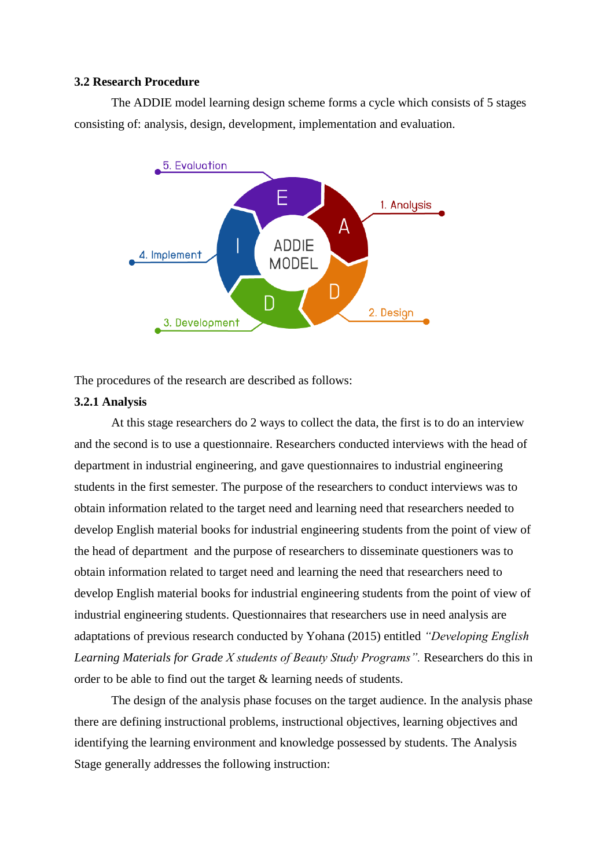## **3.2 Research Procedure**

The ADDIE model learning design scheme forms a cycle which consists of 5 stages consisting of: analysis, design, development, implementation and evaluation.



The procedures of the research are described as follows:

### **3.2.1 Analysis**

At this stage researchers do 2 ways to collect the data, the first is to do an interview and the second is to use a questionnaire. Researchers conducted interviews with the head of department in industrial engineering, and gave questionnaires to industrial engineering students in the first semester. The purpose of the researchers to conduct interviews was to obtain information related to the target need and learning need that researchers needed to develop English material books for industrial engineering students from the point of view of the head of department and the purpose of researchers to disseminate questioners was to obtain information related to target need and learning the need that researchers need to develop English material books for industrial engineering students from the point of view of industrial engineering students. Questionnaires that researchers use in need analysis are adaptations of previous research conducted by Yohana (2015) entitled *"Developing English Learning Materials for Grade X students of Beauty Study Programs".* Researchers do this in order to be able to find out the target & learning needs of students.

The design of the analysis phase focuses on the target audience. In the analysis phase there are defining instructional problems, instructional objectives, learning objectives and identifying the learning environment and knowledge possessed by students. The Analysis Stage generally addresses the following instruction: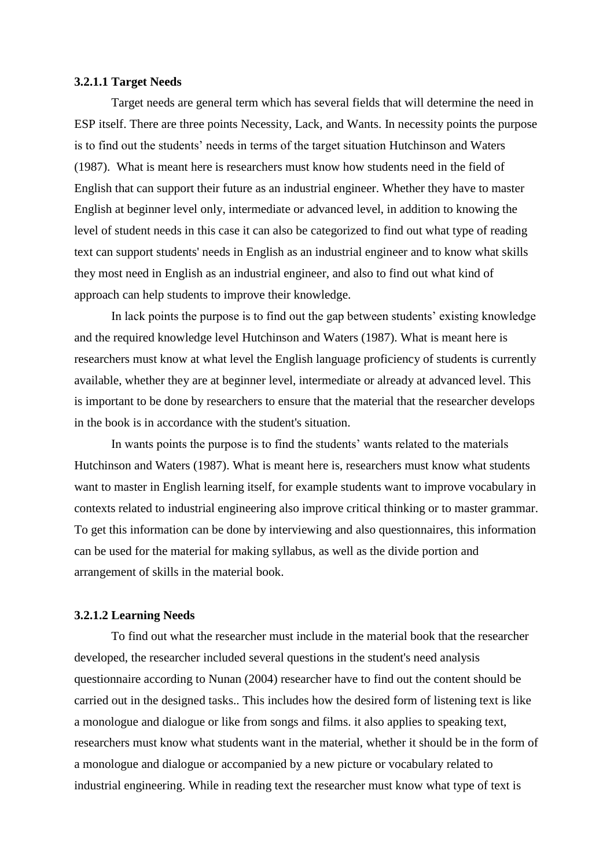### **3.2.1.1 Target Needs**

Target needs are general term which has several fields that will determine the need in ESP itself. There are three points Necessity, Lack, and Wants. In necessity points the purpose is to find out the students' needs in terms of the target situation Hutchinson and Waters (1987). What is meant here is researchers must know how students need in the field of English that can support their future as an industrial engineer. Whether they have to master English at beginner level only, intermediate or advanced level, in addition to knowing the level of student needs in this case it can also be categorized to find out what type of reading text can support students' needs in English as an industrial engineer and to know what skills they most need in English as an industrial engineer, and also to find out what kind of approach can help students to improve their knowledge.

In lack points the purpose is to find out the gap between students' existing knowledge and the required knowledge level Hutchinson and Waters (1987). What is meant here is researchers must know at what level the English language proficiency of students is currently available, whether they are at beginner level, intermediate or already at advanced level. This is important to be done by researchers to ensure that the material that the researcher develops in the book is in accordance with the student's situation.

In wants points the purpose is to find the students' wants related to the materials Hutchinson and Waters (1987). What is meant here is, researchers must know what students want to master in English learning itself, for example students want to improve vocabulary in contexts related to industrial engineering also improve critical thinking or to master grammar. To get this information can be done by interviewing and also questionnaires, this information can be used for the material for making syllabus, as well as the divide portion and arrangement of skills in the material book.

## **3.2.1.2 Learning Needs**

To find out what the researcher must include in the material book that the researcher developed, the researcher included several questions in the student's need analysis questionnaire according to Nunan (2004) researcher have to find out the content should be carried out in the designed tasks.. This includes how the desired form of listening text is like a monologue and dialogue or like from songs and films. it also applies to speaking text, researchers must know what students want in the material, whether it should be in the form of a monologue and dialogue or accompanied by a new picture or vocabulary related to industrial engineering. While in reading text the researcher must know what type of text is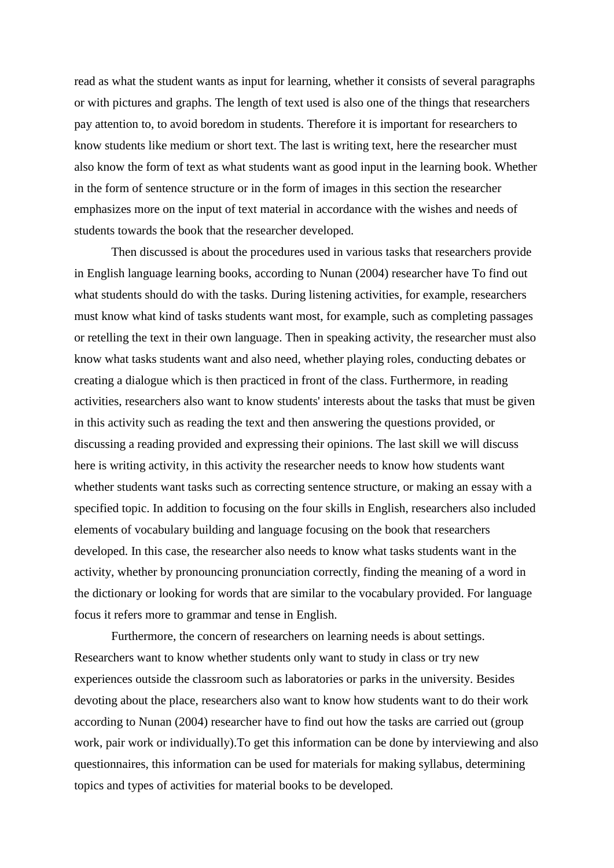read as what the student wants as input for learning, whether it consists of several paragraphs or with pictures and graphs. The length of text used is also one of the things that researchers pay attention to, to avoid boredom in students. Therefore it is important for researchers to know students like medium or short text. The last is writing text, here the researcher must also know the form of text as what students want as good input in the learning book. Whether in the form of sentence structure or in the form of images in this section the researcher emphasizes more on the input of text material in accordance with the wishes and needs of students towards the book that the researcher developed.

Then discussed is about the procedures used in various tasks that researchers provide in English language learning books, according to Nunan (2004) researcher have To find out what students should do with the tasks. During listening activities, for example, researchers must know what kind of tasks students want most, for example, such as completing passages or retelling the text in their own language. Then in speaking activity, the researcher must also know what tasks students want and also need, whether playing roles, conducting debates or creating a dialogue which is then practiced in front of the class. Furthermore, in reading activities, researchers also want to know students' interests about the tasks that must be given in this activity such as reading the text and then answering the questions provided, or discussing a reading provided and expressing their opinions. The last skill we will discuss here is writing activity, in this activity the researcher needs to know how students want whether students want tasks such as correcting sentence structure, or making an essay with a specified topic. In addition to focusing on the four skills in English, researchers also included elements of vocabulary building and language focusing on the book that researchers developed. In this case, the researcher also needs to know what tasks students want in the activity, whether by pronouncing pronunciation correctly, finding the meaning of a word in the dictionary or looking for words that are similar to the vocabulary provided. For language focus it refers more to grammar and tense in English.

Furthermore, the concern of researchers on learning needs is about settings. Researchers want to know whether students only want to study in class or try new experiences outside the classroom such as laboratories or parks in the university. Besides devoting about the place, researchers also want to know how students want to do their work according to Nunan (2004) researcher have to find out how the tasks are carried out (group work, pair work or individually).To get this information can be done by interviewing and also questionnaires, this information can be used for materials for making syllabus, determining topics and types of activities for material books to be developed.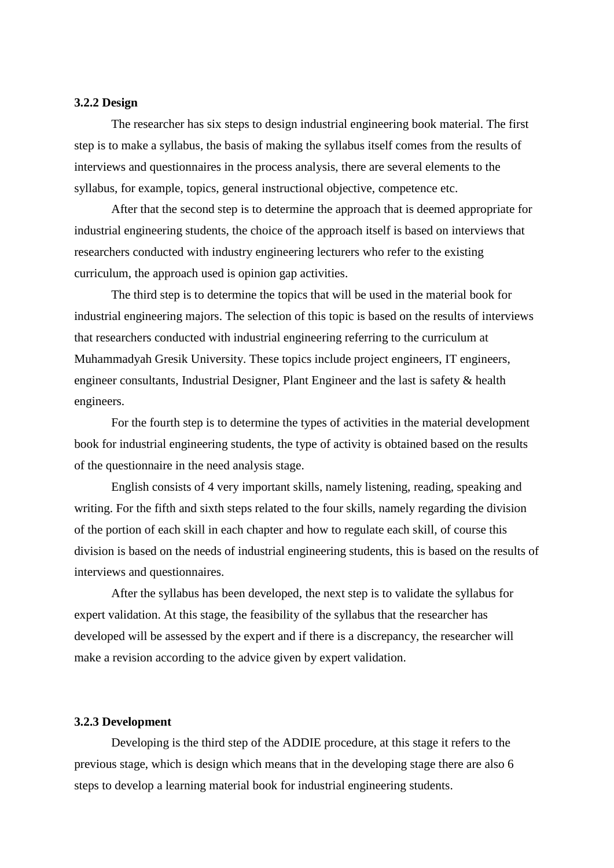## **3.2.2 Design**

The researcher has six steps to design industrial engineering book material. The first step is to make a syllabus, the basis of making the syllabus itself comes from the results of interviews and questionnaires in the process analysis, there are several elements to the syllabus, for example, topics, general instructional objective, competence etc.

After that the second step is to determine the approach that is deemed appropriate for industrial engineering students, the choice of the approach itself is based on interviews that researchers conducted with industry engineering lecturers who refer to the existing curriculum, the approach used is opinion gap activities.

The third step is to determine the topics that will be used in the material book for industrial engineering majors. The selection of this topic is based on the results of interviews that researchers conducted with industrial engineering referring to the curriculum at Muhammadyah Gresik University. These topics include project engineers, IT engineers, engineer consultants, Industrial Designer, Plant Engineer and the last is safety & health engineers.

For the fourth step is to determine the types of activities in the material development book for industrial engineering students, the type of activity is obtained based on the results of the questionnaire in the need analysis stage.

English consists of 4 very important skills, namely listening, reading, speaking and writing. For the fifth and sixth steps related to the four skills, namely regarding the division of the portion of each skill in each chapter and how to regulate each skill, of course this division is based on the needs of industrial engineering students, this is based on the results of interviews and questionnaires.

After the syllabus has been developed, the next step is to validate the syllabus for expert validation. At this stage, the feasibility of the syllabus that the researcher has developed will be assessed by the expert and if there is a discrepancy, the researcher will make a revision according to the advice given by expert validation.

## **3.2.3 Development**

Developing is the third step of the ADDIE procedure, at this stage it refers to the previous stage, which is design which means that in the developing stage there are also 6 steps to develop a learning material book for industrial engineering students.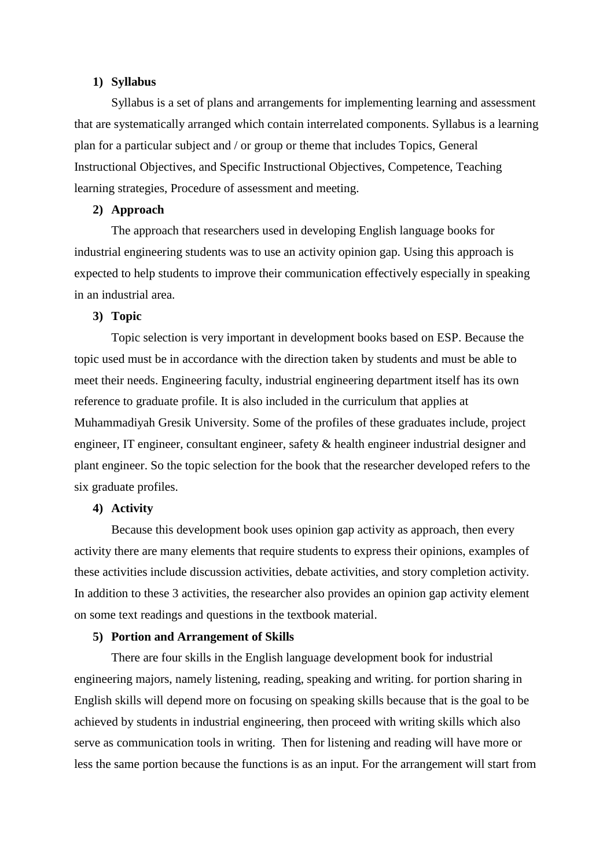## **1) Syllabus**

Syllabus is a set of plans and arrangements for implementing learning and assessment that are systematically arranged which contain interrelated components. Syllabus is a learning plan for a particular subject and / or group or theme that includes Topics, General Instructional Objectives, and Specific Instructional Objectives, Competence, Teaching learning strategies, Procedure of assessment and meeting.

## **2) Approach**

The approach that researchers used in developing English language books for industrial engineering students was to use an activity opinion gap. Using this approach is expected to help students to improve their communication effectively especially in speaking in an industrial area.

## **3) Topic**

Topic selection is very important in development books based on ESP. Because the topic used must be in accordance with the direction taken by students and must be able to meet their needs. Engineering faculty, industrial engineering department itself has its own reference to graduate profile. It is also included in the curriculum that applies at Muhammadiyah Gresik University. Some of the profiles of these graduates include, project engineer, IT engineer, consultant engineer, safety & health engineer industrial designer and plant engineer. So the topic selection for the book that the researcher developed refers to the six graduate profiles.

## **4) Activity**

Because this development book uses opinion gap activity as approach, then every activity there are many elements that require students to express their opinions, examples of these activities include discussion activities, debate activities, and story completion activity. In addition to these 3 activities, the researcher also provides an opinion gap activity element on some text readings and questions in the textbook material.

## **5) Portion and Arrangement of Skills**

There are four skills in the English language development book for industrial engineering majors, namely listening, reading, speaking and writing. for portion sharing in English skills will depend more on focusing on speaking skills because that is the goal to be achieved by students in industrial engineering, then proceed with writing skills which also serve as communication tools in writing. Then for listening and reading will have more or less the same portion because the functions is as an input. For the arrangement will start from